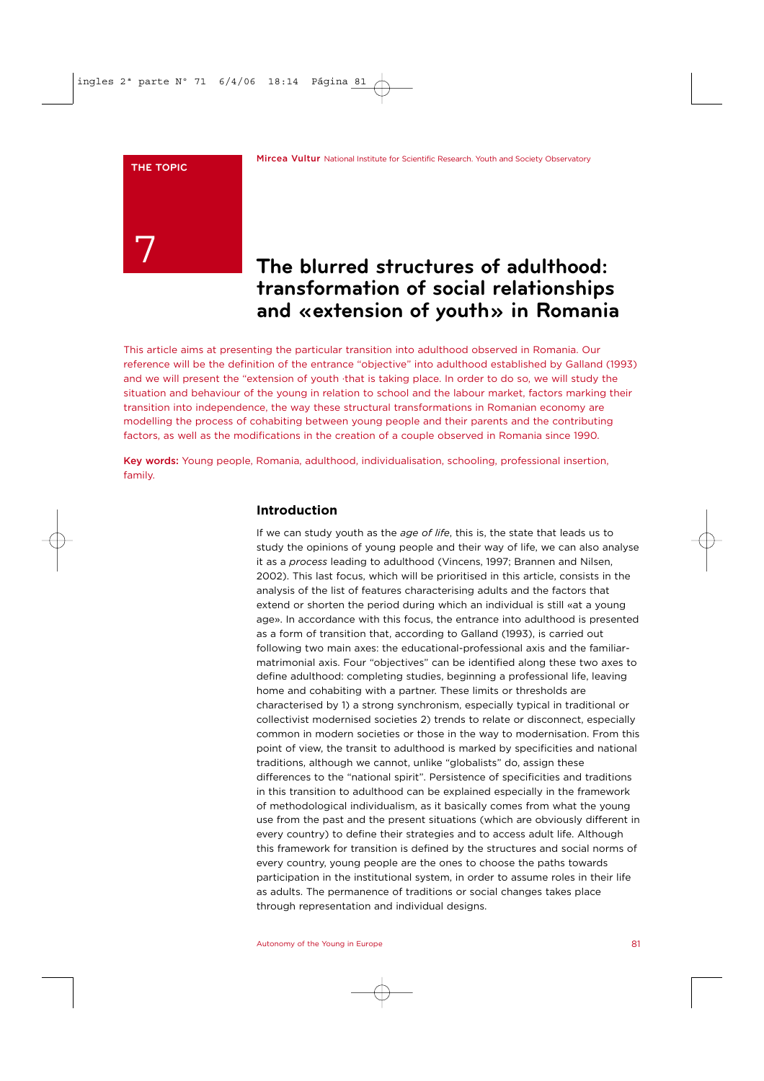### **THE TOPIC**



# **The blurred structures of adulthood: transformation of social relationships and «extension of youth» in Romania**

This article aims at presenting the particular transition into adulthood observed in Romania. Our reference will be the definition of the entrance "objective" into adulthood established by Galland (1993) and we will present the "extension of youth ·that is taking place. In order to do so, we will study the situation and behaviour of the young in relation to school and the labour market, factors marking their transition into independence, the way these structural transformations in Romanian economy are modelling the process of cohabiting between young people and their parents and the contributing factors, as well as the modifications in the creation of a couple observed in Romania since 1990.

Key words: Young people, Romania, adulthood, individualisation, schooling, professional insertion, family.

# **Introduction**

If we can study youth as the *age of life*, this is, the state that leads us to study the opinions of young people and their way of life, we can also analyse it as a *process* leading to adulthood (Vincens, 1997; Brannen and Nilsen, 2002). This last focus, which will be prioritised in this article, consists in the analysis of the list of features characterising adults and the factors that extend or shorten the period during which an individual is still «at a young age». In accordance with this focus, the entrance into adulthood is presented as a form of transition that, according to Galland (1993), is carried out following two main axes: the educational-professional axis and the familiarmatrimonial axis. Four "objectives" can be identified along these two axes to define adulthood: completing studies, beginning a professional life, leaving home and cohabiting with a partner. These limits or thresholds are characterised by 1) a strong synchronism, especially typical in traditional or collectivist modernised societies 2) trends to relate or disconnect, especially common in modern societies or those in the way to modernisation. From this point of view, the transit to adulthood is marked by specificities and national traditions, although we cannot, unlike "globalists" do, assign these differences to the "national spirit". Persistence of specificities and traditions in this transition to adulthood can be explained especially in the framework of methodological individualism, as it basically comes from what the young use from the past and the present situations (which are obviously different in every country) to define their strategies and to access adult life. Although this framework for transition is defined by the structures and social norms of every country, young people are the ones to choose the paths towards participation in the institutional system, in order to assume roles in their life as adults. The permanence of traditions or social changes takes place through representation and individual designs.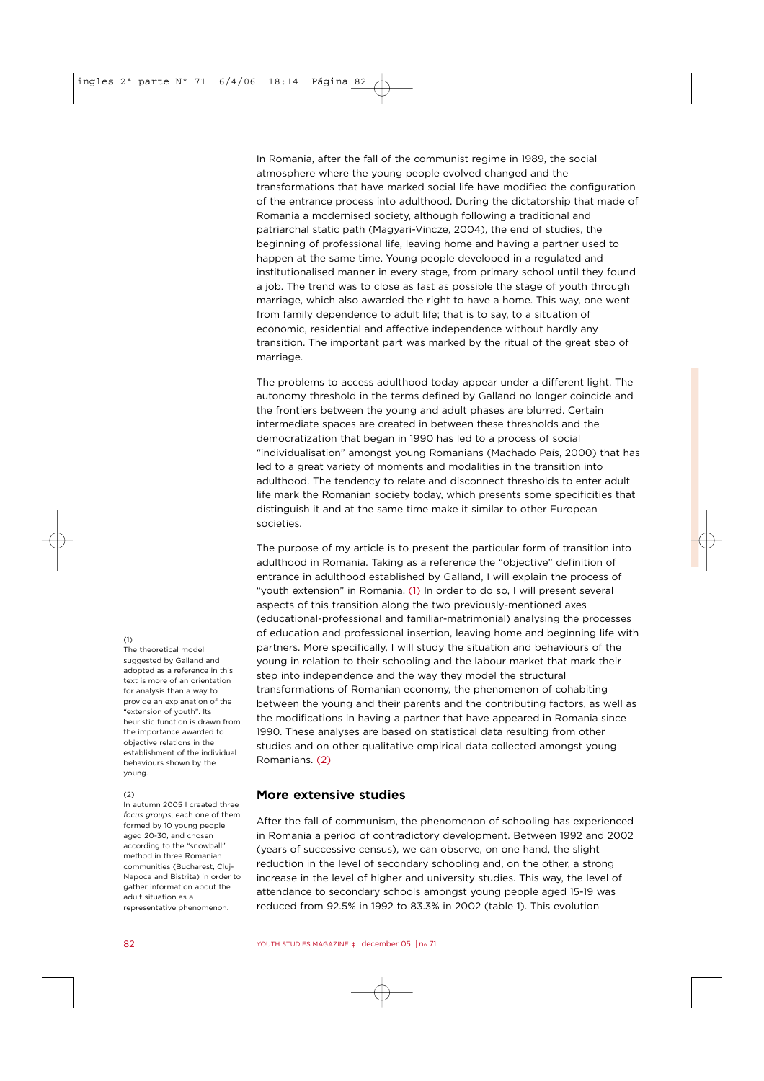In Romania, after the fall of the communist regime in 1989, the social atmosphere where the young people evolved changed and the transformations that have marked social life have modified the configuration of the entrance process into adulthood. During the dictatorship that made of Romania a modernised society, although following a traditional and patriarchal static path (Magyari-Vincze, 2004), the end of studies, the beginning of professional life, leaving home and having a partner used to happen at the same time. Young people developed in a regulated and institutionalised manner in every stage, from primary school until they found a job. The trend was to close as fast as possible the stage of youth through marriage, which also awarded the right to have a home. This way, one went from family dependence to adult life; that is to say, to a situation of economic, residential and affective independence without hardly any transition. The important part was marked by the ritual of the great step of marriage.

The problems to access adulthood today appear under a different light. The autonomy threshold in the terms defined by Galland no longer coincide and the frontiers between the young and adult phases are blurred. Certain intermediate spaces are created in between these thresholds and the democratization that began in 1990 has led to a process of social "individualisation" amongst young Romanians (Machado País, 2000) that has led to a great variety of moments and modalities in the transition into adulthood. The tendency to relate and disconnect thresholds to enter adult life mark the Romanian society today, which presents some specificities that distinguish it and at the same time make it similar to other European societies.

The purpose of my article is to present the particular form of transition into adulthood in Romania. Taking as a reference the "objective" definition of entrance in adulthood established by Galland, I will explain the process of "youth extension" in Romania. (1) In order to do so, I will present several aspects of this transition along the two previously-mentioned axes (educational-professional and familiar-matrimonial) analysing the processes of education and professional insertion, leaving home and beginning life with partners. More specifically, I will study the situation and behaviours of the young in relation to their schooling and the labour market that mark their step into independence and the way they model the structural transformations of Romanian economy, the phenomenon of cohabiting between the young and their parents and the contributing factors, as well as the modifications in having a partner that have appeared in Romania since 1990. These analyses are based on statistical data resulting from other studies and on other qualitative empirical data collected amongst young Romanians. (2)

# **More extensive studies**

After the fall of communism, the phenomenon of schooling has experienced in Romania a period of contradictory development. Between 1992 and 2002 (years of successive census), we can observe, on one hand, the slight reduction in the level of secondary schooling and, on the other, a strong increase in the level of higher and university studies. This way, the level of attendance to secondary schools amongst young people aged 15-19 was reduced from 92.5% in 1992 to 83.3% in 2002 (table 1). This evolution

### $(1)$

The theoretical model suggested by Galland and adopted as a reference in this text is more of an orientation for analysis than a way to provide an explanation of the "extension of youth". Its heuristic function is drawn from the importance awarded to objective relations in the establishment of the individual behaviours shown by the young.

#### $(2)$

In autumn 2005 I created three *focus groups*, each one of them formed by 10 young people aged 20-30, and chosen according to the "snowball" method in three Romanian communities (Bucharest, Cluj-Napoca and Bistrita) in order to gather information about the adult situation as a representative phenomenon.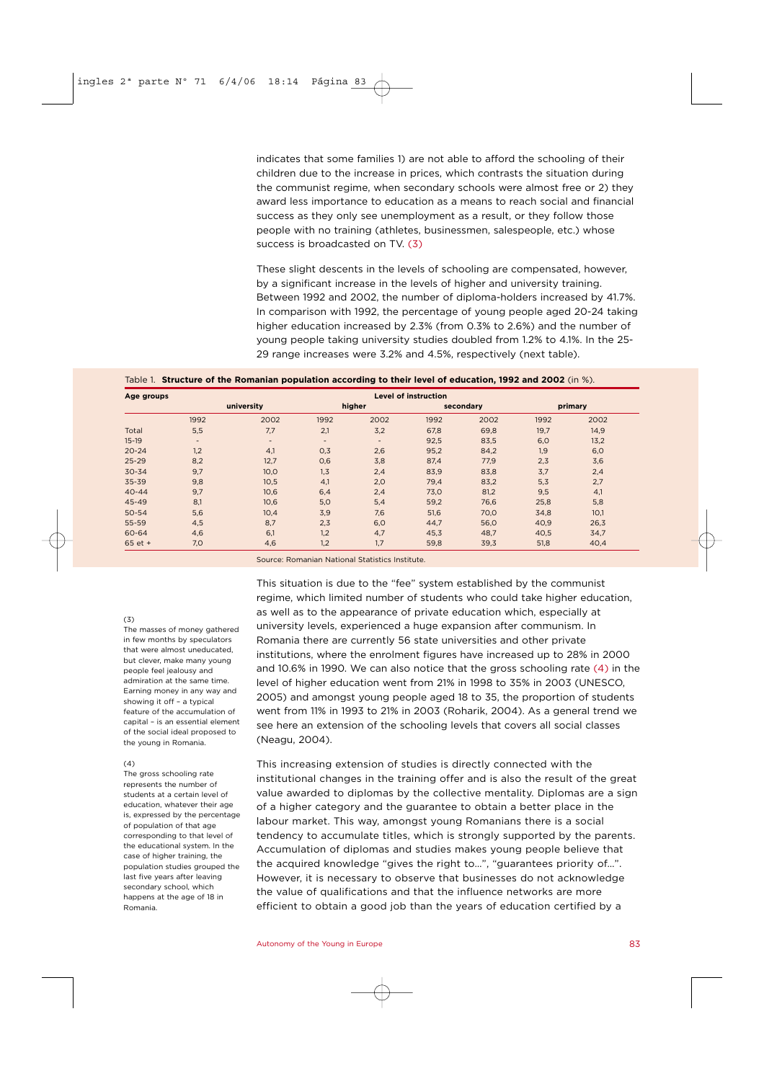indicates that some families 1) are not able to afford the schooling of their children due to the increase in prices, which contrasts the situation during the communist regime, when secondary schools were almost free or 2) they award less importance to education as a means to reach social and financial success as they only see unemployment as a result, or they follow those people with no training (athletes, businessmen, salespeople, etc.) whose success is broadcasted on TV. (3)

These slight descents in the levels of schooling are compensated, however, by a significant increase in the levels of higher and university training. Between 1992 and 2002, the number of diploma-holders increased by 41.7%. In comparison with 1992, the percentage of young people aged 20-24 taking higher education increased by 2.3% (from 0.3% to 2.6%) and the number of young people taking university studies doubled from 1.2% to 4.1%. In the 25- 29 range increases were 3.2% and 4.5%, respectively (next table).

Table 1. **Structure of the Romanian population according to their level of education, 1992 and 2002** (in %).

| Age groups | <b>Level of instruction</b> |      |                          |        |           |      |         |      |
|------------|-----------------------------|------|--------------------------|--------|-----------|------|---------|------|
|            | university                  |      | higher                   |        | secondary |      | primary |      |
|            | 1992                        | 2002 | 1992                     | 2002   | 1992      | 2002 | 1992    | 2002 |
| Total      | 5,5                         | 7,7  | 2,1                      | 3,2    | 67,8      | 69,8 | 19,7    | 14,9 |
| $15-19$    | $\overline{\phantom{a}}$    | -    | $\overline{\phantom{a}}$ | $\sim$ | 92,5      | 83,5 | 6,0     | 13,2 |
| $20 - 24$  | 1,2                         | 4,1  | 0,3                      | 2,6    | 95,2      | 84,2 | 1,9     | 6,0  |
| $25 - 29$  | 8,2                         | 12,7 | 0,6                      | 3,8    | 87,4      | 77,9 | 2,3     | 3,6  |
| $30 - 34$  | 9,7                         | 10,0 | 1, 3                     | 2,4    | 83,9      | 83,8 | 3,7     | 2,4  |
| 35-39      | 9,8                         | 10,5 | 4,1                      | 2,0    | 79,4      | 83,2 | 5,3     | 2,7  |
| $40 - 44$  | 9,7                         | 10,6 | 6,4                      | 2,4    | 73,0      | 81,2 | 9,5     | 4,1  |
| 45-49      | 8,1                         | 10,6 | 5,0                      | 5,4    | 59,2      | 76,6 | 25,8    | 5,8  |
| 50-54      | 5,6                         | 10,4 | 3,9                      | 7,6    | 51,6      | 70,0 | 34,8    | 10,1 |
| 55-59      | 4,5                         | 8,7  | 2,3                      | 6,0    | 44,7      | 56,0 | 40,9    | 26,3 |
| 60-64      | 4,6                         | 6,1  | 1,2                      | 4,7    | 45,3      | 48,7 | 40,5    | 34,7 |
| $65$ et +  | 7,0                         | 4,6  | 1,2                      | 1,7    | 59,8      | 39,3 | 51,8    | 40,4 |

Source: Romanian National Statistics Institute.

### $(3)$

The masses of money gathered in few months by speculators that were almost uneducated, but clever, make many young people feel jealousy and admiration at the same time. Earning money in any way and showing it off – a typical feature of the accumulation of capital – is an essential element of the social ideal proposed to the young in Romania.

### $(4)$

The gross schooling rate represents the number of students at a certain level of education, whatever their age is, expressed by the percentage of population of that age corresponding to that level of the educational system. In the case of higher training, the population studies grouped the last five years after leaving secondary school, which happens at the age of 18 in Romania.

This situation is due to the "fee" system established by the communist regime, which limited number of students who could take higher education, as well as to the appearance of private education which, especially at university levels, experienced a huge expansion after communism. In Romania there are currently 56 state universities and other private institutions, where the enrolment figures have increased up to 28% in 2000 and 10.6% in 1990. We can also notice that the gross schooling rate (4) in the level of higher education went from 21% in 1998 to 35% in 2003 (UNESCO, 2005) and amongst young people aged 18 to 35, the proportion of students went from 11% in 1993 to 21% in 2003 (Roharik, 2004). As a general trend we see here an extension of the schooling levels that covers all social classes (Neagu, 2004).

This increasing extension of studies is directly connected with the institutional changes in the training offer and is also the result of the great value awarded to diplomas by the collective mentality. Diplomas are a sign of a higher category and the guarantee to obtain a better place in the labour market. This way, amongst young Romanians there is a social tendency to accumulate titles, which is strongly supported by the parents. Accumulation of diplomas and studies makes young people believe that the acquired knowledge "gives the right to…", "guarantees priority of…". However, it is necessary to observe that businesses do not acknowledge the value of qualifications and that the influence networks are more efficient to obtain a good job than the years of education certified by a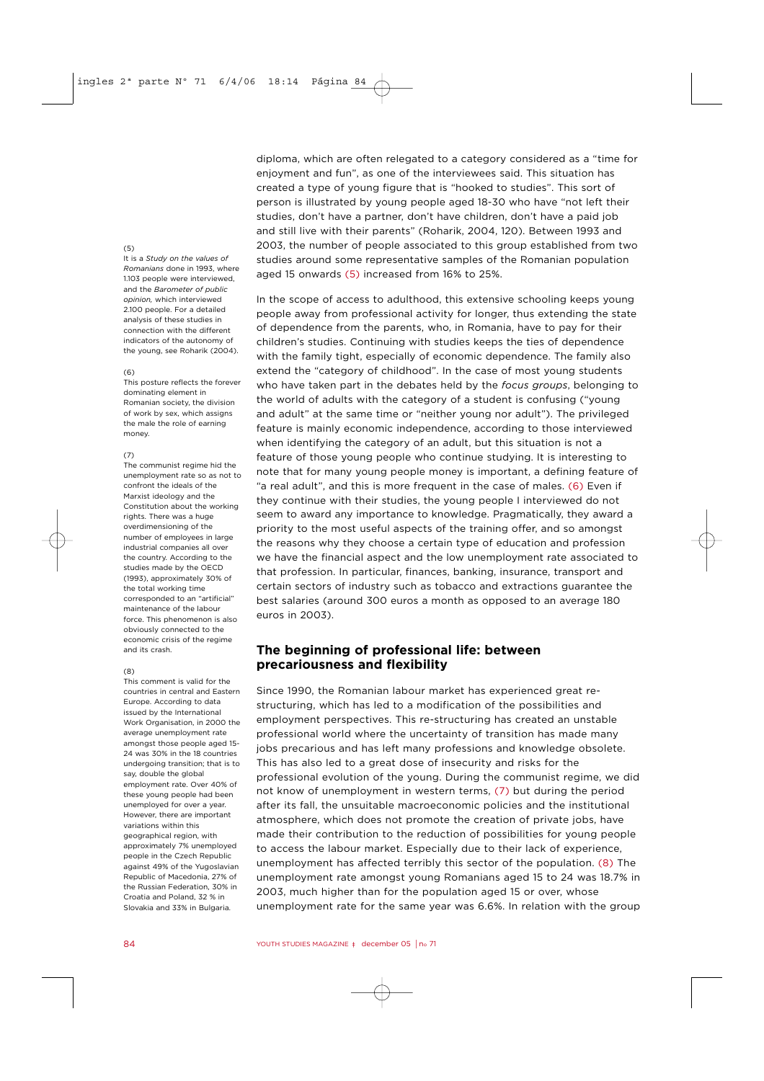### (5)

It is a *Study on the values of Romanians* done in 1993, where 1103 people were interviewed. and the *Barometer of public opinion,* which interviewed 2.100 people. For a detailed analysis of these studies in connection with the different indicators of the autonomy of the young, see Roharik (2004).

#### $(6)$

This posture reflects the forever dominating element in Romanian society, the division of work by sex, which assigns the male the role of earning money.

### $(7)$

The communist regime hid the unemployment rate so as not to confront the ideals of the Marxist ideology and the Constitution about the working rights. There was a huge overdimensioning of the number of employees in large industrial companies all over the country. According to the studies made by the OECD (1993), approximately 30% of the total working time corresponded to an "artificial" maintenance of the labour force. This phenomenon is also obviously connected to the economic crisis of the regime and its crash.

### $(8)$

This comment is valid for the countries in central and Eastern Europe. According to data issued by the International Work Organisation, in 2000 the average unemployment rate amongst those people aged 15- 24 was 30% in the 18 countries undergoing transition; that is to say, double the global employment rate. Over 40% of these young people had been unemployed for over a year. However, there are important variations within this geographical region, with approximately 7% unemployed people in the Czech Republic against 49% of the Yugoslavian Republic of Macedonia, 27% of the Russian Federation, 30% in Croatia and Poland, 32 % in Slovakia and 33% in Bulgaria.

diploma, which are often relegated to a category considered as a "time for enjoyment and fun", as one of the interviewees said. This situation has created a type of young figure that is "hooked to studies". This sort of person is illustrated by young people aged 18-30 who have "not left their studies, don't have a partner, don't have children, don't have a paid job and still live with their parents" (Roharik, 2004, 120). Between 1993 and 2003, the number of people associated to this group established from two studies around some representative samples of the Romanian population aged 15 onwards (5) increased from 16% to 25%.

In the scope of access to adulthood, this extensive schooling keeps young people away from professional activity for longer, thus extending the state of dependence from the parents, who, in Romania, have to pay for their children's studies. Continuing with studies keeps the ties of dependence with the family tight, especially of economic dependence. The family also extend the "category of childhood". In the case of most young students who have taken part in the debates held by the *focus groups*, belonging to the world of adults with the category of a student is confusing ("young and adult" at the same time or "neither young nor adult"). The privileged feature is mainly economic independence, according to those interviewed when identifying the category of an adult, but this situation is not a feature of those young people who continue studying. It is interesting to note that for many young people money is important, a defining feature of "a real adult", and this is more frequent in the case of males. (6) Even if they continue with their studies, the young people I interviewed do not seem to award any importance to knowledge. Pragmatically, they award a priority to the most useful aspects of the training offer, and so amongst the reasons why they choose a certain type of education and profession we have the financial aspect and the low unemployment rate associated to that profession. In particular, finances, banking, insurance, transport and certain sectors of industry such as tobacco and extractions guarantee the best salaries (around 300 euros a month as opposed to an average 180 euros in 2003).

## **The beginning of professional life: between precariousness and flexibility**

Since 1990, the Romanian labour market has experienced great restructuring, which has led to a modification of the possibilities and employment perspectives. This re-structuring has created an unstable professional world where the uncertainty of transition has made many jobs precarious and has left many professions and knowledge obsolete. This has also led to a great dose of insecurity and risks for the professional evolution of the young. During the communist regime, we did not know of unemployment in western terms, (7) but during the period after its fall, the unsuitable macroeconomic policies and the institutional atmosphere, which does not promote the creation of private jobs, have made their contribution to the reduction of possibilities for young people to access the labour market. Especially due to their lack of experience, unemployment has affected terribly this sector of the population. (8) The unemployment rate amongst young Romanians aged 15 to 24 was 18.7% in 2003, much higher than for the population aged 15 or over, whose unemployment rate for the same year was 6.6%. In relation with the group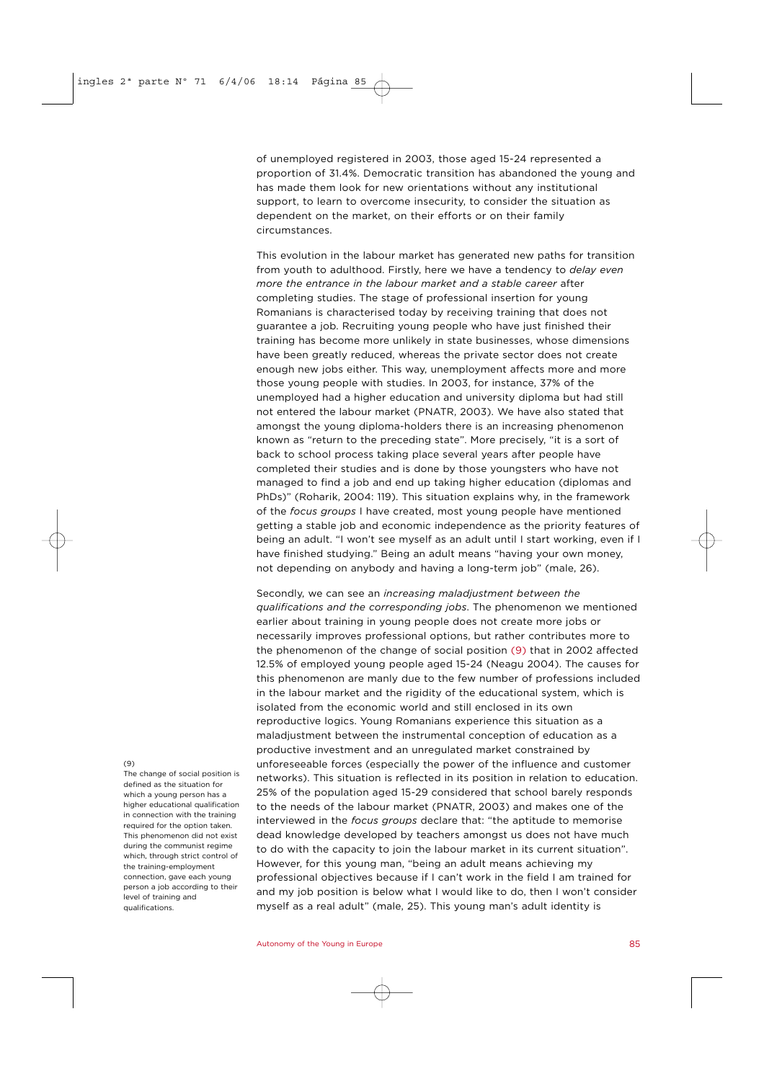of unemployed registered in 2003, those aged 15-24 represented a proportion of 31.4%. Democratic transition has abandoned the young and has made them look for new orientations without any institutional support, to learn to overcome insecurity, to consider the situation as dependent on the market, on their efforts or on their family circumstances.

This evolution in the labour market has generated new paths for transition from youth to adulthood. Firstly, here we have a tendency to *delay even more the entrance in the labour market and a stable career* after completing studies. The stage of professional insertion for young Romanians is characterised today by receiving training that does not guarantee a job. Recruiting young people who have just finished their training has become more unlikely in state businesses, whose dimensions have been greatly reduced, whereas the private sector does not create enough new jobs either. This way, unemployment affects more and more those young people with studies. In 2003, for instance, 37% of the unemployed had a higher education and university diploma but had still not entered the labour market (PNATR, 2003). We have also stated that amongst the young diploma-holders there is an increasing phenomenon known as "return to the preceding state". More precisely, "it is a sort of back to school process taking place several years after people have completed their studies and is done by those youngsters who have not managed to find a job and end up taking higher education (diplomas and PhDs)" (Roharik, 2004: 119). This situation explains why, in the framework of the *focus groups* I have created, most young people have mentioned getting a stable job and economic independence as the priority features of being an adult. "I won't see myself as an adult until I start working, even if I have finished studying." Being an adult means "having your own money, not depending on anybody and having a long-term job" (male, 26).

Secondly, we can see an *increasing maladjustment between the qualifications and the corresponding jobs*. The phenomenon we mentioned earlier about training in young people does not create more jobs or necessarily improves professional options, but rather contributes more to the phenomenon of the change of social position (9) that in 2002 affected 12.5% of employed young people aged 15-24 (Neagu 2004). The causes for this phenomenon are manly due to the few number of professions included in the labour market and the rigidity of the educational system, which is isolated from the economic world and still enclosed in its own reproductive logics. Young Romanians experience this situation as a maladjustment between the instrumental conception of education as a productive investment and an unregulated market constrained by unforeseeable forces (especially the power of the influence and customer networks). This situation is reflected in its position in relation to education. 25% of the population aged 15-29 considered that school barely responds to the needs of the labour market (PNATR, 2003) and makes one of the interviewed in the *focus groups* declare that: "the aptitude to memorise dead knowledge developed by teachers amongst us does not have much to do with the capacity to join the labour market in its current situation". However, for this young man, "being an adult means achieving my professional objectives because if I can't work in the field I am trained for and my job position is below what I would like to do, then I won't consider myself as a real adult" (male, 25). This young man's adult identity is

#### (9)

The change of social position is defined as the situation for which a young person has a higher educational qualification in connection with the training required for the option taken. This phenomenon did not exist during the communist regime which, through strict control of the training-employment connection, gave each young person a job according to their level of training and qualifications.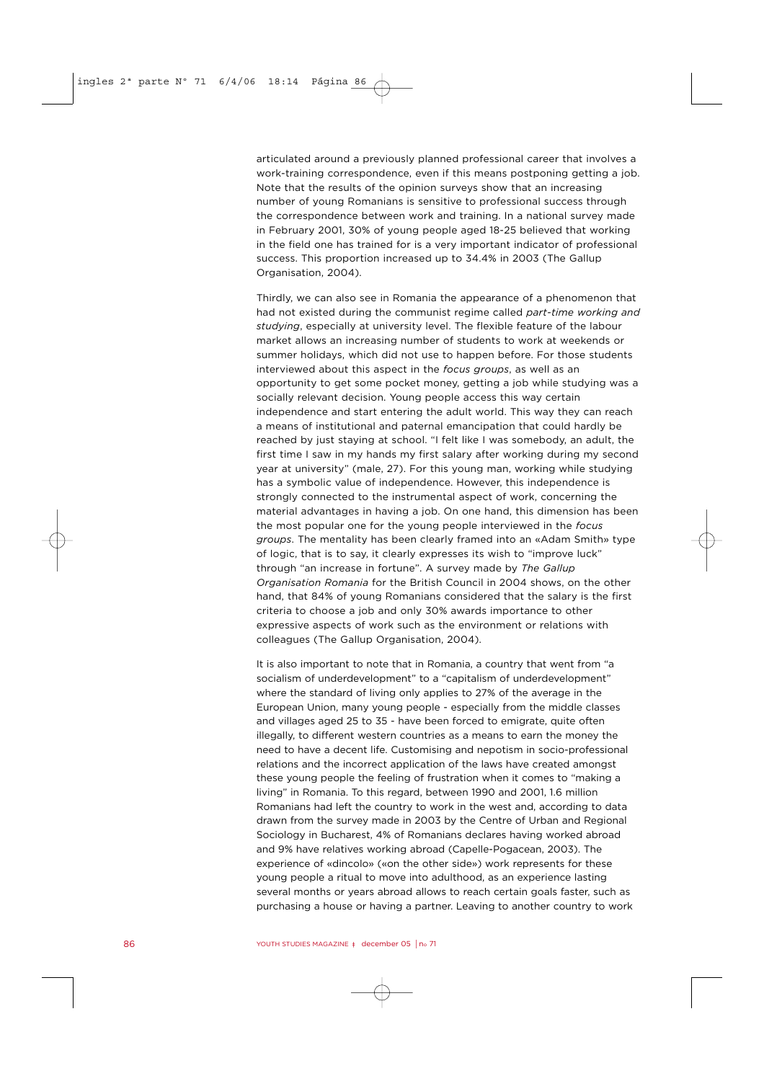articulated around a previously planned professional career that involves a work-training correspondence, even if this means postponing getting a job. Note that the results of the opinion surveys show that an increasing number of young Romanians is sensitive to professional success through the correspondence between work and training. In a national survey made in February 2001, 30% of young people aged 18-25 believed that working in the field one has trained for is a very important indicator of professional success. This proportion increased up to 34.4% in 2003 (The Gallup Organisation, 2004).

Thirdly, we can also see in Romania the appearance of a phenomenon that had not existed during the communist regime called *part-time working and studying*, especially at university level. The flexible feature of the labour market allows an increasing number of students to work at weekends or summer holidays, which did not use to happen before. For those students interviewed about this aspect in the *focus groups*, as well as an opportunity to get some pocket money, getting a job while studying was a socially relevant decision. Young people access this way certain independence and start entering the adult world. This way they can reach a means of institutional and paternal emancipation that could hardly be reached by just staying at school. "I felt like I was somebody, an adult, the first time I saw in my hands my first salary after working during my second year at university" (male, 27). For this young man, working while studying has a symbolic value of independence. However, this independence is strongly connected to the instrumental aspect of work, concerning the material advantages in having a job. On one hand, this dimension has been the most popular one for the young people interviewed in the *focus groups*. The mentality has been clearly framed into an «Adam Smith» type of logic, that is to say, it clearly expresses its wish to "improve luck" through "an increase in fortune". A survey made by *The Gallup Organisation Romania* for the British Council in 2004 shows, on the other hand, that 84% of young Romanians considered that the salary is the first criteria to choose a job and only 30% awards importance to other expressive aspects of work such as the environment or relations with colleagues (The Gallup Organisation, 2004).

It is also important to note that in Romania, a country that went from "a socialism of underdevelopment" to a "capitalism of underdevelopment" where the standard of living only applies to 27% of the average in the European Union, many young people - especially from the middle classes and villages aged 25 to 35 - have been forced to emigrate, quite often illegally, to different western countries as a means to earn the money the need to have a decent life. Customising and nepotism in socio-professional relations and the incorrect application of the laws have created amongst these young people the feeling of frustration when it comes to "making a living" in Romania. To this regard, between 1990 and 2001, 1.6 million Romanians had left the country to work in the west and, according to data drawn from the survey made in 2003 by the Centre of Urban and Regional Sociology in Bucharest, 4% of Romanians declares having worked abroad and 9% have relatives working abroad (Capelle-Pogacean, 2003). The experience of «dincolo» («on the other side») work represents for these young people a ritual to move into adulthood, as an experience lasting several months or years abroad allows to reach certain goals faster, such as purchasing a house or having a partner. Leaving to another country to work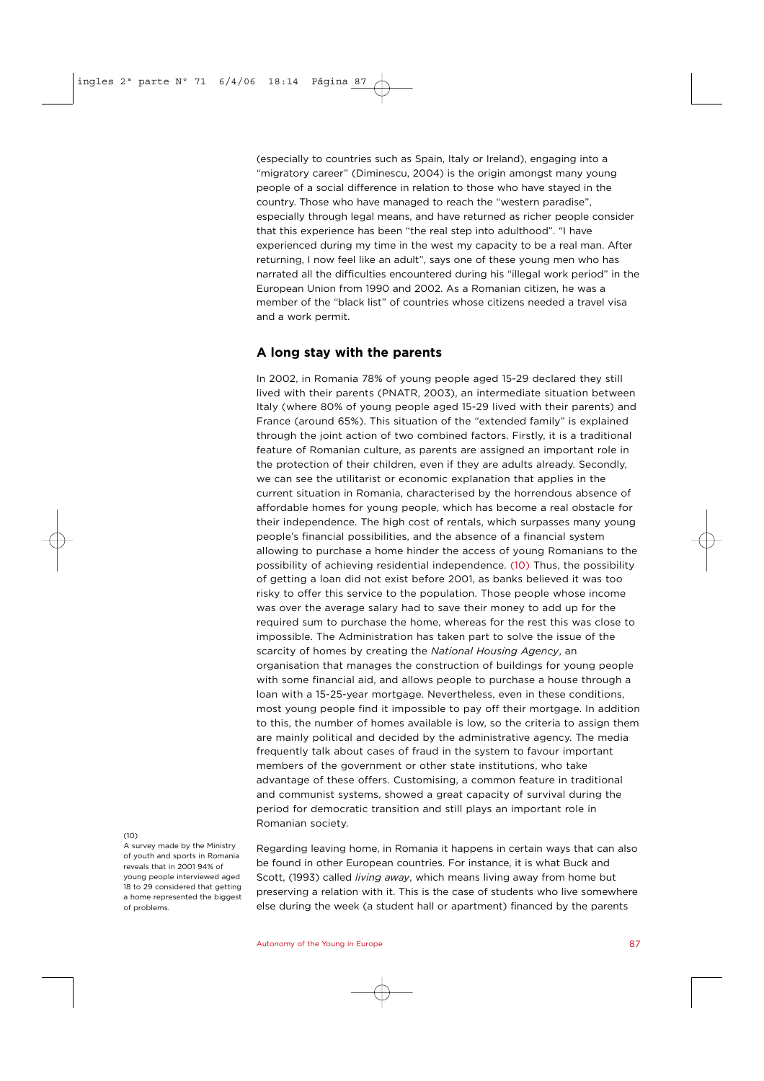(especially to countries such as Spain, Italy or Ireland), engaging into a "migratory career" (Diminescu, 2004) is the origin amongst many young people of a social difference in relation to those who have stayed in the country. Those who have managed to reach the "western paradise", especially through legal means, and have returned as richer people consider that this experience has been "the real step into adulthood". "I have experienced during my time in the west my capacity to be a real man. After returning, I now feel like an adult", says one of these young men who has narrated all the difficulties encountered during his "illegal work period" in the European Union from 1990 and 2002. As a Romanian citizen, he was a member of the "black list" of countries whose citizens needed a travel visa and a work permit.

### **A long stay with the parents**

In 2002, in Romania 78% of young people aged 15-29 declared they still lived with their parents (PNATR, 2003), an intermediate situation between Italy (where 80% of young people aged 15-29 lived with their parents) and France (around 65%). This situation of the "extended family" is explained through the joint action of two combined factors. Firstly, it is a traditional feature of Romanian culture, as parents are assigned an important role in the protection of their children, even if they are adults already. Secondly, we can see the utilitarist or economic explanation that applies in the current situation in Romania, characterised by the horrendous absence of affordable homes for young people, which has become a real obstacle for their independence. The high cost of rentals, which surpasses many young people's financial possibilities, and the absence of a financial system allowing to purchase a home hinder the access of young Romanians to the possibility of achieving residential independence. (10) Thus, the possibility of getting a loan did not exist before 2001, as banks believed it was too risky to offer this service to the population. Those people whose income was over the average salary had to save their money to add up for the required sum to purchase the home, whereas for the rest this was close to impossible. The Administration has taken part to solve the issue of the scarcity of homes by creating the *National Housing Agency*, an organisation that manages the construction of buildings for young people with some financial aid, and allows people to purchase a house through a loan with a 15-25-year mortgage. Nevertheless, even in these conditions, most young people find it impossible to pay off their mortgage. In addition to this, the number of homes available is low, so the criteria to assign them are mainly political and decided by the administrative agency. The media frequently talk about cases of fraud in the system to favour important members of the government or other state institutions, who take advantage of these offers. Customising, a common feature in traditional and communist systems, showed a great capacity of survival during the period for democratic transition and still plays an important role in Romanian society.

### $(10)$

A survey made by the Ministry of youth and sports in Romania reveals that in 2001 94% of young people interviewed aged 18 to 29 considered that getting a home represented the biggest of problems.

Regarding leaving home, in Romania it happens in certain ways that can also be found in other European countries. For instance, it is what Buck and Scott, (1993) called *living away*, which means living away from home but preserving a relation with it. This is the case of students who live somewhere else during the week (a student hall or apartment) financed by the parents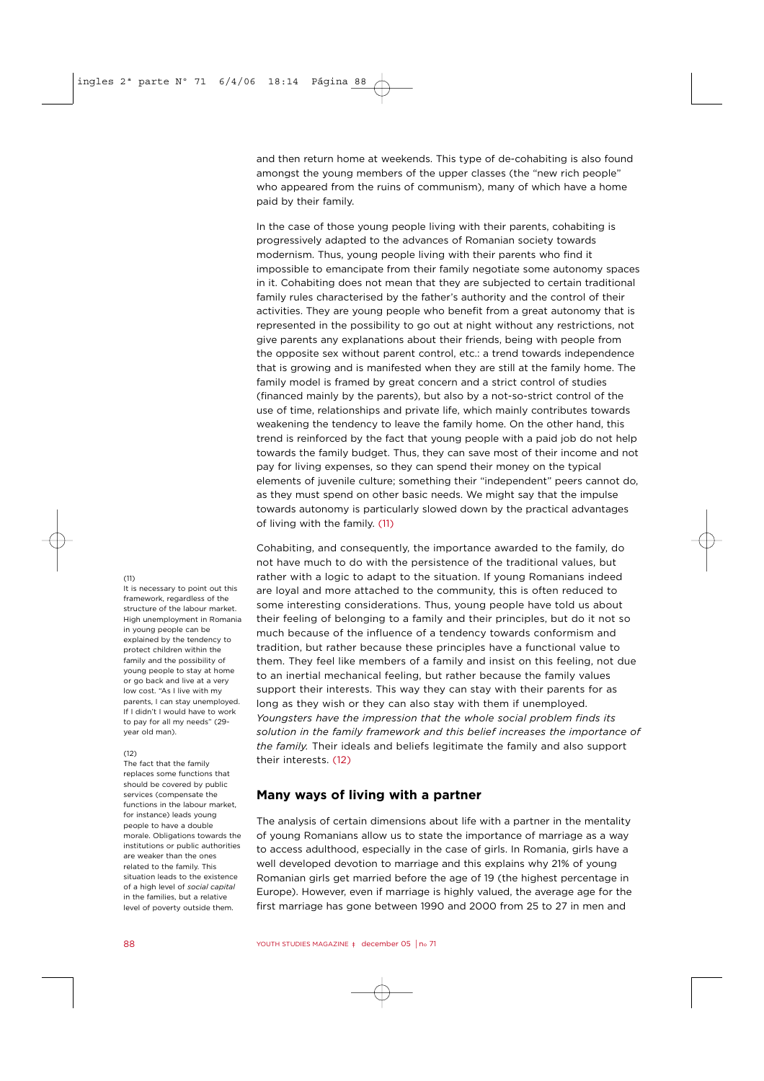and then return home at weekends. This type of de-cohabiting is also found amongst the young members of the upper classes (the "new rich people" who appeared from the ruins of communism), many of which have a home paid by their family.

In the case of those young people living with their parents, cohabiting is progressively adapted to the advances of Romanian society towards modernism. Thus, young people living with their parents who find it impossible to emancipate from their family negotiate some autonomy spaces in it. Cohabiting does not mean that they are subjected to certain traditional family rules characterised by the father's authority and the control of their activities. They are young people who benefit from a great autonomy that is represented in the possibility to go out at night without any restrictions, not give parents any explanations about their friends, being with people from the opposite sex without parent control, etc.: a trend towards independence that is growing and is manifested when they are still at the family home. The family model is framed by great concern and a strict control of studies (financed mainly by the parents), but also by a not-so-strict control of the use of time, relationships and private life, which mainly contributes towards weakening the tendency to leave the family home. On the other hand, this trend is reinforced by the fact that young people with a paid job do not help towards the family budget. Thus, they can save most of their income and not pay for living expenses, so they can spend their money on the typical elements of juvenile culture; something their "independent" peers cannot do, as they must spend on other basic needs. We might say that the impulse towards autonomy is particularly slowed down by the practical advantages of living with the family. (11)

Cohabiting, and consequently, the importance awarded to the family, do not have much to do with the persistence of the traditional values, but rather with a logic to adapt to the situation. If young Romanians indeed are loyal and more attached to the community, this is often reduced to some interesting considerations. Thus, young people have told us about their feeling of belonging to a family and their principles, but do it not so much because of the influence of a tendency towards conformism and tradition, but rather because these principles have a functional value to them. They feel like members of a family and insist on this feeling, not due to an inertial mechanical feeling, but rather because the family values support their interests. This way they can stay with their parents for as long as they wish or they can also stay with them if unemployed. *Youngsters have the impression that the whole social problem finds its solution in the family framework and this belief increases the importance of the family.* Their ideals and beliefs legitimate the family and also support their interests. (12)

# **Many ways of living with a partner**

The analysis of certain dimensions about life with a partner in the mentality of young Romanians allow us to state the importance of marriage as a way to access adulthood, especially in the case of girls. In Romania, girls have a well developed devotion to marriage and this explains why 21% of young Romanian girls get married before the age of 19 (the highest percentage in Europe). However, even if marriage is highly valued, the average age for the first marriage has gone between 1990 and 2000 from 25 to 27 in men and

### $(11)$

It is necessary to point out this framework, regardless of the structure of the labour market. High unemployment in Romania in young people can be explained by the tendency to protect children within the family and the possibility of young people to stay at home or go back and live at a very low cost. "As I live with my parents, I can stay unemployed. If I didn't I would have to work to pay for all my needs" (29 year old man).

### $(12)$

The fact that the family replaces some functions that should be covered by public services (compensate the functions in the labour market, for instance) leads young people to have a double morale. Obligations towards the institutions or public authorities are weaker than the ones related to the family. This situation leads to the existence of a high level of *social capital* in the families, but a relative level of poverty outside them.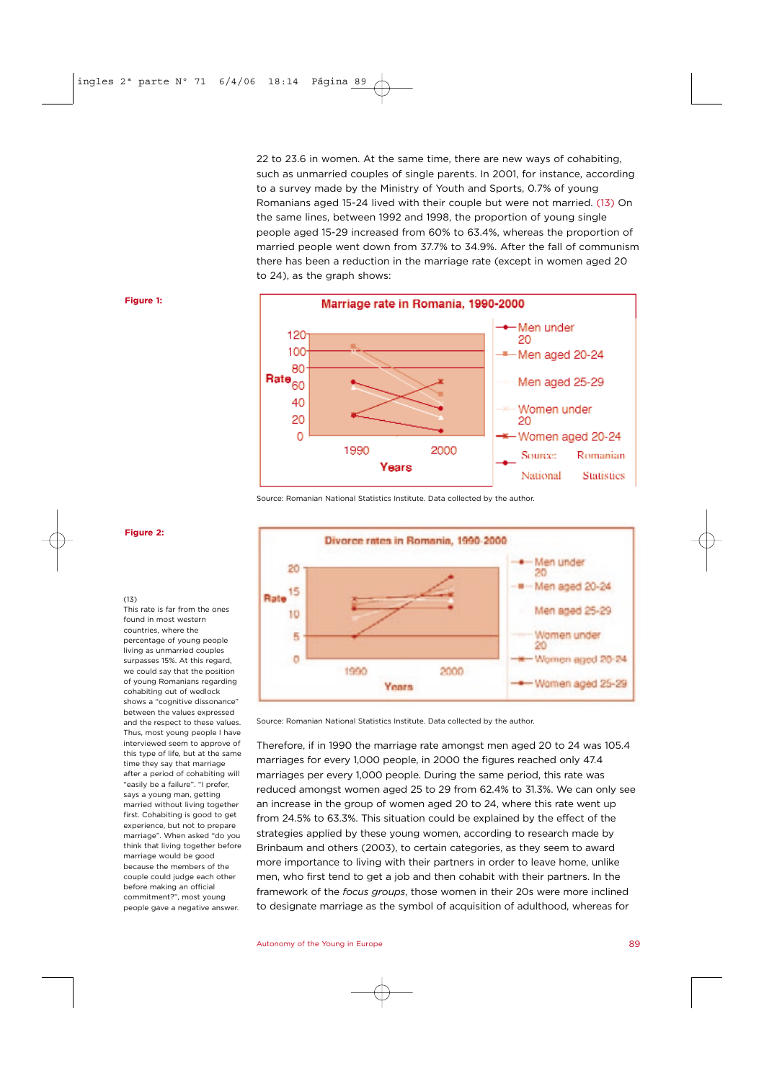22 to 23.6 in women. At the same time, there are new ways of cohabiting, such as unmarried couples of single parents. In 2001, for instance, according to a survey made by the Ministry of Youth and Sports, 0.7% of young Romanians aged 15-24 lived with their couple but were not married. (13) On the same lines, between 1992 and 1998, the proportion of young single people aged 15-29 increased from 60% to 63.4%, whereas the proportion of married people went down from 37.7% to 34.9%. After the fall of communism there has been a reduction in the marriage rate (except in women aged 20 to 24), as the graph shows:





Source: Romanian National Statistics Institute. Data collected by the author.



Source: Romanian National Statistics Institute. Data collected by the author.

Therefore, if in 1990 the marriage rate amongst men aged 20 to 24 was 105.4 marriages for every 1,000 people, in 2000 the figures reached only 47.4 marriages per every 1,000 people. During the same period, this rate was reduced amongst women aged 25 to 29 from 62.4% to 31.3%. We can only see an increase in the group of women aged 20 to 24, where this rate went up from 24.5% to 63.3%. This situation could be explained by the effect of the strategies applied by these young women, according to research made by Brinbaum and others (2003), to certain categories, as they seem to award more importance to living with their partners in order to leave home, unlike men, who first tend to get a job and then cohabit with their partners. In the framework of the *focus groups*, those women in their 20s were more inclined to designate marriage as the symbol of acquisition of adulthood, whereas for

### **Figure 2:**

 $(13)$ 

This rate is far from the ones found in most western countries, where the percentage of young people living as unmarried couples surpasses 15%. At this regard we could say that the position of young Romanians regarding cohabiting out of wedlock shows a "cognitive dissonance" between the values expressed and the respect to these values. Thus, most young people I have interviewed seem to approve of this type of life, but at the same time they say that marriage after a period of cohabiting will "easily be a failure". "I prefer, says a young man, getting married without living together first. Cohabiting is good to get experience, but not to prepare marriage". When asked "do you think that living together before marriage would be good because the members of the couple could judge each other before making an official commitment?", most young people gave a negative answer.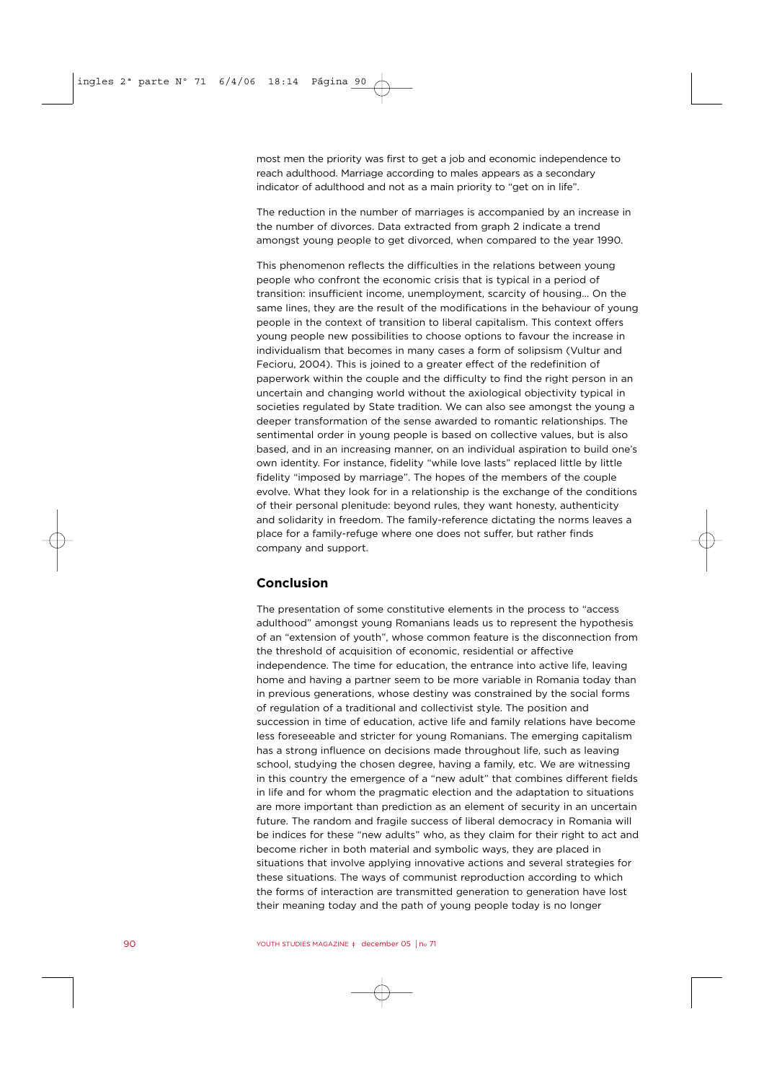most men the priority was first to get a job and economic independence to reach adulthood. Marriage according to males appears as a secondary indicator of adulthood and not as a main priority to "get on in life".

The reduction in the number of marriages is accompanied by an increase in the number of divorces. Data extracted from graph 2 indicate a trend amongst young people to get divorced, when compared to the year 1990.

This phenomenon reflects the difficulties in the relations between young people who confront the economic crisis that is typical in a period of transition: insufficient income, unemployment, scarcity of housing... On the same lines, they are the result of the modifications in the behaviour of young people in the context of transition to liberal capitalism. This context offers young people new possibilities to choose options to favour the increase in individualism that becomes in many cases a form of solipsism (Vultur and Fecioru, 2004). This is joined to a greater effect of the redefinition of paperwork within the couple and the difficulty to find the right person in an uncertain and changing world without the axiological objectivity typical in societies regulated by State tradition. We can also see amongst the young a deeper transformation of the sense awarded to romantic relationships. The sentimental order in young people is based on collective values, but is also based, and in an increasing manner, on an individual aspiration to build one's own identity. For instance, fidelity "while love lasts" replaced little by little fidelity "imposed by marriage". The hopes of the members of the couple evolve. What they look for in a relationship is the exchange of the conditions of their personal plenitude: beyond rules, they want honesty, authenticity and solidarity in freedom. The family-reference dictating the norms leaves a place for a family-refuge where one does not suffer, but rather finds company and support.

# **Conclusion**

The presentation of some constitutive elements in the process to "access adulthood" amongst young Romanians leads us to represent the hypothesis of an "extension of youth", whose common feature is the disconnection from the threshold of acquisition of economic, residential or affective independence. The time for education, the entrance into active life, leaving home and having a partner seem to be more variable in Romania today than in previous generations, whose destiny was constrained by the social forms of regulation of a traditional and collectivist style. The position and succession in time of education, active life and family relations have become less foreseeable and stricter for young Romanians. The emerging capitalism has a strong influence on decisions made throughout life, such as leaving school, studying the chosen degree, having a family, etc. We are witnessing in this country the emergence of a "new adult" that combines different fields in life and for whom the pragmatic election and the adaptation to situations are more important than prediction as an element of security in an uncertain future. The random and fragile success of liberal democracy in Romania will be indices for these "new adults" who, as they claim for their right to act and become richer in both material and symbolic ways, they are placed in situations that involve applying innovative actions and several strategies for these situations. The ways of communist reproduction according to which the forms of interaction are transmitted generation to generation have lost their meaning today and the path of young people today is no longer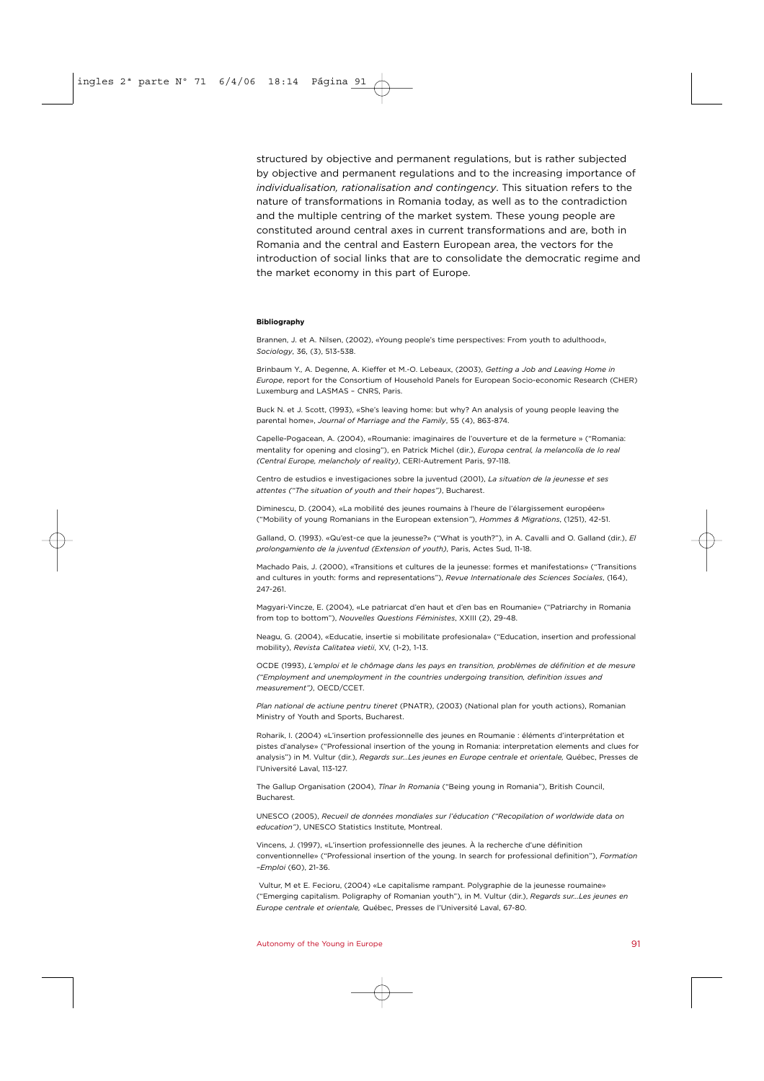structured by objective and permanent regulations, but is rather subjected by objective and permanent regulations and to the increasing importance of *individualisation, rationalisation and contingency*. This situation refers to the nature of transformations in Romania today, as well as to the contradiction and the multiple centring of the market system. These young people are constituted around central axes in current transformations and are, both in Romania and the central and Eastern European area, the vectors for the introduction of social links that are to consolidate the democratic regime and the market economy in this part of Europe.

### **Bibliography**

Brannen, J. et A. Nilsen, (2002), «Young people's time perspectives: From youth to adulthood», *Sociology*, 36, (3), 513-538.

Brinbaum Y., A. Degenne, A. Kieffer et M.-O. Lebeaux, (2003), *Getting a Job and Leaving Home in Europe*, report for the Consortium of Household Panels for European Socio-economic Research (CHER) Luxemburg and LASMAS – CNRS, Paris.

Buck N. et J. Scott, (1993), «She's leaving home: but why? An analysis of young people leaving the parental home», *Journal of Marriage and the Family*, 55 (4), 863-874.

Capelle-Pogacean, A. (2004), «Roumanie: imaginaires de l'ouverture et de la fermeture » ("Romania: mentality for opening and closing"), en Patrick Michel (dir.), *Europa central, la melancolía de lo real (Central Europe, melancholy of reality)*, CERI-Autrement Paris, 97-118.

Centro de estudios e investigaciones sobre la juventud (2001), *La situation de la jeunesse et ses attentes ("The situation of youth and their hopes")*, Bucharest.

Diminescu, D. (2004), «La mobilité des jeunes roumains à l'heure de l'élargissement européen» ("Mobility of young Romanians in the European extension*"*), *Hommes & Migrations*, (1251), 42-51.

Galland, O. (1993). «Qu'est-ce que la jeunesse?» ("What is youth?"), in A. Cavalli and O. Galland (dir.), *El prolongamiento de la juventud (Extension of youth)*, Paris, Actes Sud, 11-18.

Machado Pais, J. (2000), «Transitions et cultures de la jeunesse: formes et manifestations» ("Transitions and cultures in youth: forms and representations"), *Revue Internationale des Sciences Sociales*, (164), 247-261.

Magyari-Vincze, E. (2004), «Le patriarcat d'en haut et d'en bas en Roumanie» ("Patriarchy in Romania from top to bottom"), *Nouvelles Questions Féministes*, XXIII (2), 29-48.

Neagu, G. (2004), «Educatie, insertie si mobilitate profesionala» ("Education, insertion and professional mobility), *Revista Calitatea vietii*, XV, (1-2), 1-13.

OCDE (1993), *L'emploi et le chômage dans les pays en transition, problèmes de définition et de mesure ("Employment and unemployment in the countries undergoing transition, definition issues and measurement")*, OECD/CCET.

*Plan national de actiune pentru tineret* (PNATR), (2003) (National plan for youth actions), Romanian Ministry of Youth and Sports, Bucharest.

Roharik, I. (2004) «L'insertion professionnelle des jeunes en Roumanie : éléments d'interprétation et pistes d'analyse» ("Professional insertion of the young in Romania: interpretation elements and clues for analysis") in M. Vultur (dir.), *Regards sur…Les jeunes en Europe centrale et orientale,* Québec, Presses de l'Université Laval, 113-127.

The Gallup Organisation (2004), *Tînar în Romania* ("Being young in Romania"), British Council, Bucharest.

UNESCO (2005), *Recueil de données mondiales sur l'éducation ("Recopilation of worldwide data on education")*, UNESCO Statistics Institute, Montreal.

Vincens, J. (1997), «L'insertion professionnelle des jeunes. À la recherche d'une définition conventionnelle» ("Professional insertion of the young. In search for professional definition"), *Formation –Emploi* (60), 21-36.

Vultur, M et E. Fecioru, (2004) «Le capitalisme rampant. Polygraphie de la jeunesse roumaine» ("Emerging capitalism. Poligraphy of Romanian youth"), in M. Vultur (dir.), *Regards sur…Les jeunes en Europe centrale et orientale,* Québec, Presses de l'Université Laval, 67-80.